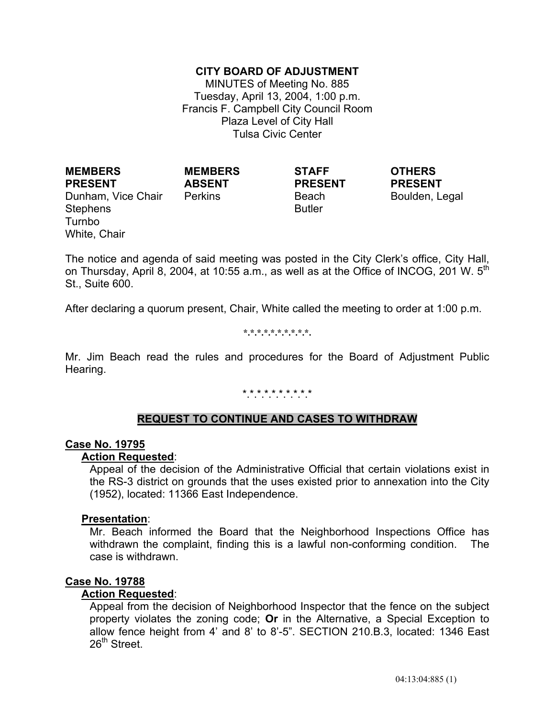# **CITY BOARD OF ADJUSTMENT**

MINUTES of Meeting No. 885 Tuesday, April 13, 2004, 1:00 p.m. Francis F. Campbell City Council Room Plaza Level of City Hall Tulsa Civic Center

**MEMBERS PRESENT** Dunham, Vice Chair Perkins **Beach** Beach Boulden, Legal Stephens Turnbo White, Chair

**MEMBERS ABSENT**

**STAFF PRESENT** Butler

**OTHERS PRESENT**

The notice and agenda of said meeting was posted in the City Clerk's office, City Hall, on Thursday, April 8, 2004, at 10:55 a.m., as well as at the Office of INCOG, 201 W.  $5<sup>th</sup>$ St., Suite 600.

After declaring a quorum present, Chair, White called the meeting to order at 1:00 p.m.

**\*.\*.\*.\*.\*.\*.\*.\*.\*.\*.** 

Mr. Jim Beach read the rules and procedures for the Board of Adjustment Public Hearing.

# \*.\*.\*.\*.\*.\*.\*.\*.\*.\*

# **REQUEST TO CONTINUE AND CASES TO WITHDRAW**

#### **Case No. 19795**

#### **Action Requested**:

 Appeal of the decision of the Administrative Official that certain violations exist in the RS-3 district on grounds that the uses existed prior to annexation into the City (1952), located: 11366 East Independence.

#### **Presentation**:

 Mr. Beach informed the Board that the Neighborhood Inspections Office has withdrawn the complaint, finding this is a lawful non-conforming condition. The case is withdrawn.

### **Case No. 19788**

### **Action Requested**:

 Appeal from the decision of Neighborhood Inspector that the fence on the subject property violates the zoning code; **Or** in the Alternative, a Special Exception to allow fence height from 4' and 8' to 8'-5". SECTION 210.B.3, located: 1346 East 26<sup>th</sup> Street.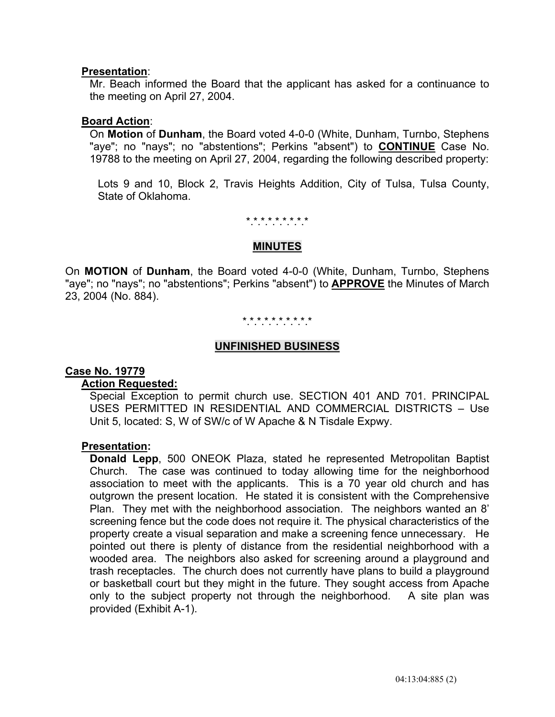# **Presentation**:

 Mr. Beach informed the Board that the applicant has asked for a continuance to the meeting on April 27, 2004.

### **Board Action**:

 On **Motion** of **Dunham**, the Board voted 4-0-0 (White, Dunham, Turnbo, Stephens "aye"; no "nays"; no "abstentions"; Perkins "absent") to **CONTINUE** Case No. 19788 to the meeting on April 27, 2004, regarding the following described property:

 Lots 9 and 10, Block 2, Travis Heights Addition, City of Tulsa, Tulsa County, State of Oklahoma.

\*.\*.\*.\*.\*.\*.\*.\*.\*

### **MINUTES**

On **MOTION** of **Dunham**, the Board voted 4-0-0 (White, Dunham, Turnbo, Stephens "aye"; no "nays"; no "abstentions"; Perkins "absent") to **APPROVE** the Minutes of March 23, 2004 (No. 884).

# \*.\*.\*.\*.\*.\*.\*.\*.\*.\*

# **UNFINISHED BUSINESS**

### **Case No. 19779**

### **Action Requested:**

 Special Exception to permit church use. SECTION 401 AND 701. PRINCIPAL USES PERMITTED IN RESIDENTIAL AND COMMERCIAL DISTRICTS – Use Unit 5, located: S, W of SW/c of W Apache & N Tisdale Expwy.

### **Presentation:**

 **Donald Lepp**, 500 ONEOK Plaza, stated he represented Metropolitan Baptist Church. The case was continued to today allowing time for the neighborhood association to meet with the applicants. This is a 70 year old church and has outgrown the present location. He stated it is consistent with the Comprehensive Plan. They met with the neighborhood association. The neighbors wanted an 8' screening fence but the code does not require it. The physical characteristics of the property create a visual separation and make a screening fence unnecessary. He pointed out there is plenty of distance from the residential neighborhood with a wooded area. The neighbors also asked for screening around a playground and trash receptacles. The church does not currently have plans to build a playground or basketball court but they might in the future. They sought access from Apache only to the subject property not through the neighborhood. A site plan was provided (Exhibit A-1).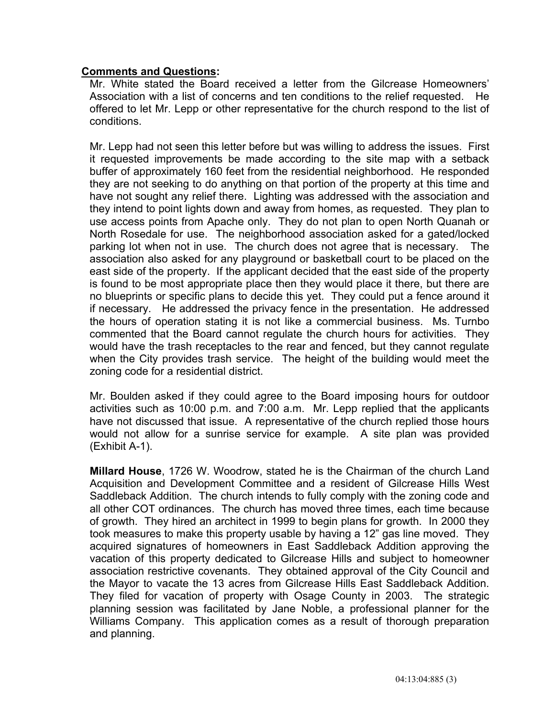# **Comments and Questions:**

 Mr. White stated the Board received a letter from the Gilcrease Homeowners' Association with a list of concerns and ten conditions to the relief requested. He offered to let Mr. Lepp or other representative for the church respond to the list of conditions.

 Mr. Lepp had not seen this letter before but was willing to address the issues. First it requested improvements be made according to the site map with a setback buffer of approximately 160 feet from the residential neighborhood. He responded they are not seeking to do anything on that portion of the property at this time and have not sought any relief there. Lighting was addressed with the association and they intend to point lights down and away from homes, as requested. They plan to use access points from Apache only. They do not plan to open North Quanah or North Rosedale for use. The neighborhood association asked for a gated/locked parking lot when not in use. The church does not agree that is necessary. The association also asked for any playground or basketball court to be placed on the east side of the property. If the applicant decided that the east side of the property is found to be most appropriate place then they would place it there, but there are no blueprints or specific plans to decide this yet. They could put a fence around it if necessary. He addressed the privacy fence in the presentation. He addressed the hours of operation stating it is not like a commercial business. Ms. Turnbo commented that the Board cannot regulate the church hours for activities. They would have the trash receptacles to the rear and fenced, but they cannot regulate when the City provides trash service. The height of the building would meet the zoning code for a residential district.

 Mr. Boulden asked if they could agree to the Board imposing hours for outdoor activities such as 10:00 p.m. and 7:00 a.m. Mr. Lepp replied that the applicants have not discussed that issue. A representative of the church replied those hours would not allow for a sunrise service for example. A site plan was provided (Exhibit A-1).

 **Millard House**, 1726 W. Woodrow, stated he is the Chairman of the church Land Acquisition and Development Committee and a resident of Gilcrease Hills West Saddleback Addition. The church intends to fully comply with the zoning code and all other COT ordinances. The church has moved three times, each time because of growth. They hired an architect in 1999 to begin plans for growth. In 2000 they took measures to make this property usable by having a 12" gas line moved. They acquired signatures of homeowners in East Saddleback Addition approving the vacation of this property dedicated to Gilcrease Hills and subject to homeowner association restrictive covenants. They obtained approval of the City Council and the Mayor to vacate the 13 acres from Gilcrease Hills East Saddleback Addition. They filed for vacation of property with Osage County in 2003. The strategic planning session was facilitated by Jane Noble, a professional planner for the Williams Company. This application comes as a result of thorough preparation and planning.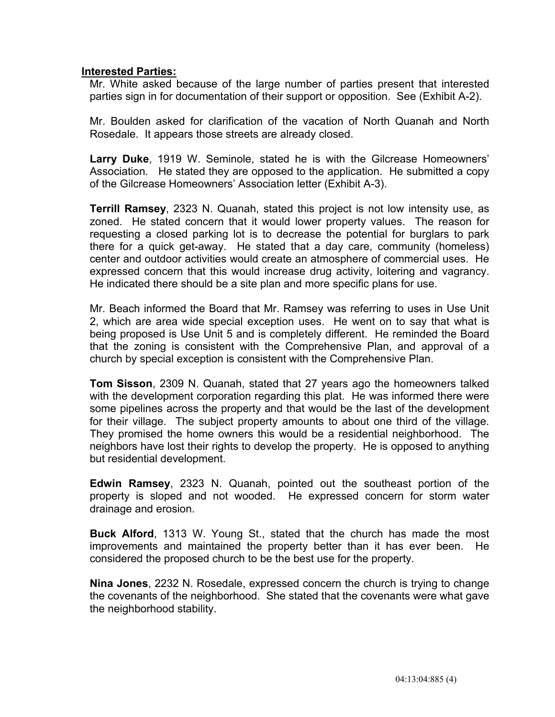# **Interested Parties:**

Mr. White asked because of the large number of parties present that interested parties sign in for documentation of their support or opposition.See (Exhibit A-2).

Mr. Boulden asked for clarification of the vacation of North Quanah and North Rosedale. It appears those streets are already closed.

 **Larry Duke**, 1919 W. Seminole, stated he is with the Gilcrease Homeowners' Association. He stated they are opposed to the application. He submitted a copy of the Gilcrease Homeowners' Association letter (Exhibit A-3).

 **Terrill Ramsey**, 2323 N. Quanah, stated this project is not low intensity use, as zoned. He stated concern that it would lower property values. The reason for requesting a closed parking lot is to decrease the potential for burglars to park there for a quick get-away. He stated that a day care, community (homeless) center and outdoor activities would create an atmosphere of commercial uses. He expressed concern that this would increase drug activity, loitering and vagrancy. He indicated there should be a site plan and more specific plans for use.

 Mr. Beach informed the Board that Mr. Ramsey was referring to uses in Use Unit 2, which are area wide special exception uses. He went on to say that what is being proposed is Use Unit 5 and is completely different. He reminded the Board that the zoning is consistent with the Comprehensive Plan, and approval of a church by special exception is consistent with the Comprehensive Plan.

 **Tom Sisson**, 2309 N. Quanah, stated that 27 years ago the homeowners talked with the development corporation regarding this plat. He was informed there were some pipelines across the property and that would be the last of the development for their village. The subject property amounts to about one third of the village. They promised the home owners this would be a residential neighborhood. The neighbors have lost their rights to develop the property. He is opposed to anything but residential development.

 **Edwin Ramsey**, 2323 N. Quanah, pointed out the southeast portion of the property is sloped and not wooded. He expressed concern for storm water drainage and erosion.

 **Buck Alford**, 1313 W. Young St., stated that the church has made the most improvements and maintained the property better than it has ever been. He considered the proposed church to be the best use for the property.

 **Nina Jones**, 2232 N. Rosedale, expressed concern the church is trying to change the covenants of the neighborhood. She stated that the covenants were what gave the neighborhood stability.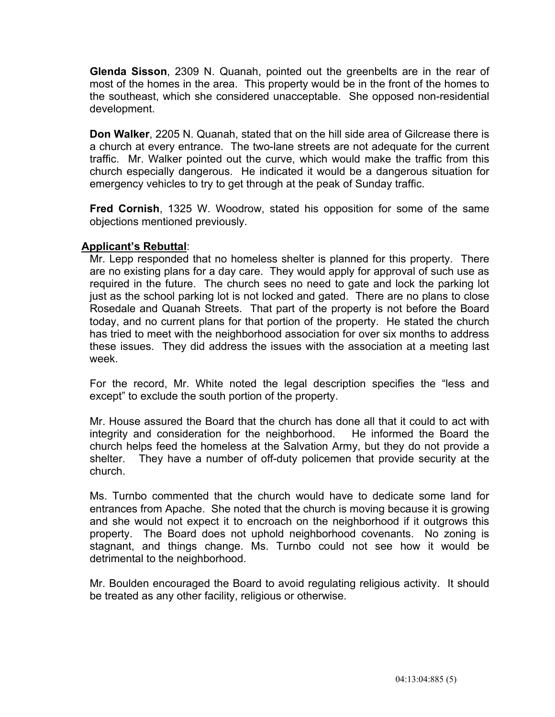**Glenda Sisson**, 2309 N. Quanah, pointed out the greenbelts are in the rear of most of the homes in the area. This property would be in the front of the homes to the southeast, which she considered unacceptable. She opposed non-residential development.

 **Don Walker**, 2205 N. Quanah, stated that on the hill side area of Gilcrease there is a church at every entrance. The two-lane streets are not adequate for the current traffic. Mr. Walker pointed out the curve, which would make the traffic from this church especially dangerous. He indicated it would be a dangerous situation for emergency vehicles to try to get through at the peak of Sunday traffic.

 **Fred Cornish**, 1325 W. Woodrow, stated his opposition for some of the same objections mentioned previously.

# **Applicant's Rebuttal**:

 Mr. Lepp responded that no homeless shelter is planned for this property. There are no existing plans for a day care. They would apply for approval of such use as required in the future. The church sees no need to gate and lock the parking lot just as the school parking lot is not locked and gated. There are no plans to close Rosedale and Quanah Streets. That part of the property is not before the Board today, and no current plans for that portion of the property. He stated the church has tried to meet with the neighborhood association for over six months to address these issues. They did address the issues with the association at a meeting last week.

 For the record, Mr. White noted the legal description specifies the "less and except" to exclude the south portion of the property.

 Mr. House assured the Board that the church has done all that it could to act with integrity and consideration for the neighborhood. He informed the Board the church helps feed the homeless at the Salvation Army, but they do not provide a shelter. They have a number of off-duty policemen that provide security at the church.

 Ms. Turnbo commented that the church would have to dedicate some land for entrances from Apache. She noted that the church is moving because it is growing and she would not expect it to encroach on the neighborhood if it outgrows this property. The Board does not uphold neighborhood covenants. No zoning is stagnant, and things change. Ms. Turnbo could not see how it would be detrimental to the neighborhood.

 Mr. Boulden encouraged the Board to avoid regulating religious activity. It should be treated as any other facility, religious or otherwise.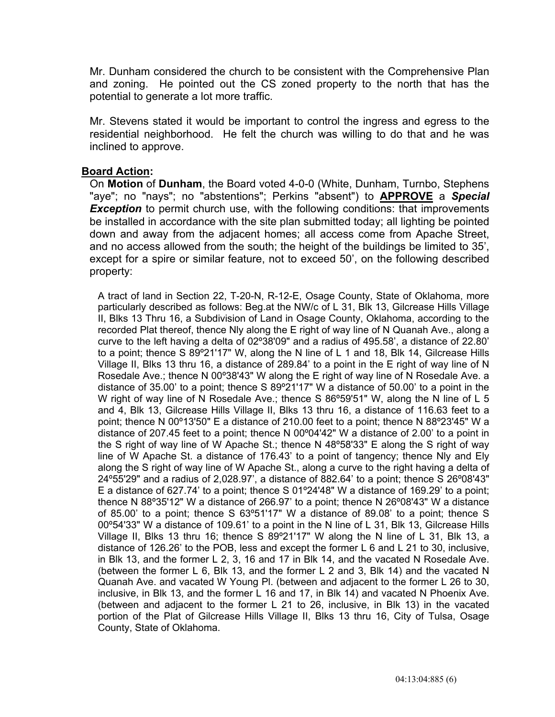Mr. Dunham considered the church to be consistent with the Comprehensive Plan and zoning. He pointed out the CS zoned property to the north that has the potential to generate a lot more traffic.

 Mr. Stevens stated it would be important to control the ingress and egress to the residential neighborhood. He felt the church was willing to do that and he was inclined to approve.

# **Board Action:**

On **Motion** of **Dunham**, the Board voted 4-0-0 (White, Dunham, Turnbo, Stephens "aye"; no "nays"; no "abstentions"; Perkins "absent") to **APPROVE** a *Special*  **Exception** to permit church use, with the following conditions: that improvements be installed in accordance with the site plan submitted today; all lighting be pointed down and away from the adjacent homes; all access come from Apache Street, and no access allowed from the south; the height of the buildings be limited to 35', except for a spire or similar feature, not to exceed 50', on the following described property:

 A tract of land in Section 22, T-20-N, R-12-E, Osage County, State of Oklahoma, more particularly described as follows: Beg.at the NW/c of L 31, Blk 13, Gilcrease Hills Village II, Blks 13 Thru 16, a Subdivision of Land in Osage County, Oklahoma, according to the recorded Plat thereof, thence Nly along the E right of way line of N Quanah Ave., along a curve to the left having a delta of 02º38'09" and a radius of 495.58', a distance of 22.80' to a point; thence S 89º21'17" W, along the N line of L 1 and 18, Blk 14, Gilcrease Hills Village II, Blks 13 thru 16, a distance of 289.84' to a point in the E right of way line of N Rosedale Ave.; thence N 00º38'43" W along the E right of way line of N Rosedale Ave. a distance of 35.00' to a point; thence S 89º21'17" W a distance of 50.00' to a point in the W right of way line of N Rosedale Ave.; thence S 86°59'51" W, along the N line of L 5 and 4, Blk 13, Gilcrease Hills Village II, Blks 13 thru 16, a distance of 116.63 feet to a point; thence N 00º13'50" E a distance of 210.00 feet to a point; thence N 88º23'45" W a distance of 207.45 feet to a point; thence N 00º04'42" W a distance of 2.00' to a point in the S right of way line of W Apache St.; thence N 48º58'33" E along the S right of way line of W Apache St. a distance of 176.43' to a point of tangency; thence Nly and Ely along the S right of way line of W Apache St., along a curve to the right having a delta of 24º55'29" and a radius of 2,028.97', a distance of 882.64' to a point; thence S 26º08'43" E a distance of 627.74' to a point; thence S 01º24'48" W a distance of 169.29' to a point; thence N 88º35'12" W a distance of 266.97' to a point; thence N 26º08'43" W a distance of 85.00' to a point; thence S 63º51'17" W a distance of 89.08' to a point; thence S 00º54'33" W a distance of 109.61' to a point in the N line of L 31, Blk 13, Gilcrease Hills Village II, Blks 13 thru 16; thence S 89º21'17" W along the N line of L 31, Blk 13, a distance of 126.26' to the POB, less and except the former L 6 and L 21 to 30, inclusive, in Blk 13, and the former L 2, 3, 16 and 17 in Blk 14, and the vacated N Rosedale Ave. (between the former L 6, Blk 13, and the former L 2 and 3, Blk 14) and the vacated N Quanah Ave. and vacated W Young Pl. (between and adjacent to the former L 26 to 30, inclusive, in Blk 13, and the former L 16 and 17, in Blk 14) and vacated N Phoenix Ave. (between and adjacent to the former L 21 to 26, inclusive, in Blk 13) in the vacated portion of the Plat of Gilcrease Hills Village II, Blks 13 thru 16, City of Tulsa, Osage County, State of Oklahoma.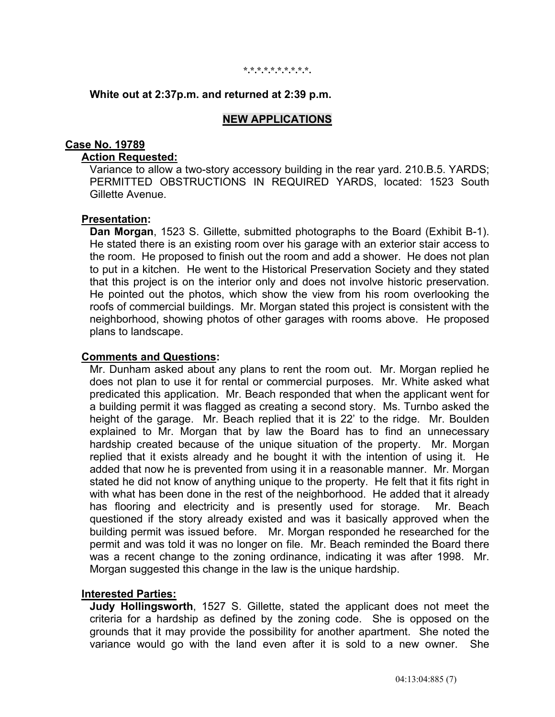#### **\*.\*.\*.\*.\*.\*.\*.\*.\*.\*.**

# **White out at 2:37p.m. and returned at 2:39 p.m.**

### **NEW APPLICATIONS**

#### **Case No. 19789**

# **Action Requested:**

 Variance to allow a two-story accessory building in the rear yard. 210.B.5. YARDS; PERMITTED OBSTRUCTIONS IN REQUIRED YARDS, located: 1523 South Gillette Avenue.

### **Presentation:**

 **Dan Morgan**, 1523 S. Gillette, submitted photographs to the Board (Exhibit B-1). He stated there is an existing room over his garage with an exterior stair access to the room. He proposed to finish out the room and add a shower. He does not plan to put in a kitchen. He went to the Historical Preservation Society and they stated that this project is on the interior only and does not involve historic preservation. He pointed out the photos, which show the view from his room overlooking the roofs of commercial buildings. Mr. Morgan stated this project is consistent with the neighborhood, showing photos of other garages with rooms above. He proposed plans to landscape.

#### **Comments and Questions:**

 Mr. Dunham asked about any plans to rent the room out. Mr. Morgan replied he does not plan to use it for rental or commercial purposes. Mr. White asked what predicated this application. Mr. Beach responded that when the applicant went for a building permit it was flagged as creating a second story. Ms. Turnbo asked the height of the garage. Mr. Beach replied that it is 22' to the ridge. Mr. Boulden explained to Mr. Morgan that by law the Board has to find an unnecessary hardship created because of the unique situation of the property. Mr. Morgan replied that it exists already and he bought it with the intention of using it. He added that now he is prevented from using it in a reasonable manner. Mr. Morgan stated he did not know of anything unique to the property. He felt that it fits right in with what has been done in the rest of the neighborhood. He added that it already has flooring and electricity and is presently used for storage. Mr. Beach questioned if the story already existed and was it basically approved when the building permit was issued before. Mr. Morgan responded he researched for the permit and was told it was no longer on file. Mr. Beach reminded the Board there was a recent change to the zoning ordinance, indicating it was after 1998. Mr. Morgan suggested this change in the law is the unique hardship.

### **Interested Parties:**

 **Judy Hollingsworth**, 1527 S. Gillette, stated the applicant does not meet the criteria for a hardship as defined by the zoning code. She is opposed on the grounds that it may provide the possibility for another apartment. She noted the variance would go with the land even after it is sold to a new owner. She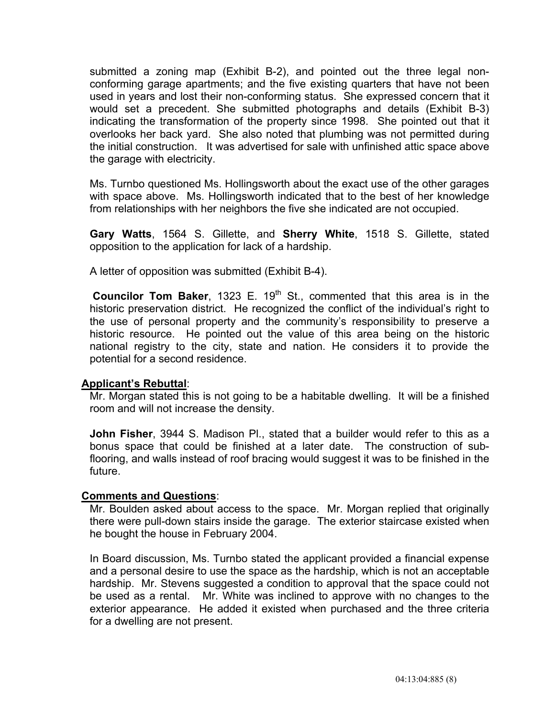submitted a zoning map (Exhibit B-2), and pointed out the three legal nonconforming garage apartments; and the five existing quarters that have not been used in years and lost their non-conforming status. She expressed concern that it would set a precedent. She submitted photographs and details (Exhibit B-3) indicating the transformation of the property since 1998. She pointed out that it overlooks her back yard. She also noted that plumbing was not permitted during the initial construction. It was advertised for sale with unfinished attic space above the garage with electricity.

 Ms. Turnbo questioned Ms. Hollingsworth about the exact use of the other garages with space above. Ms. Hollingsworth indicated that to the best of her knowledge from relationships with her neighbors the five she indicated are not occupied.

 **Gary Watts**, 1564 S. Gillette, and **Sherry White**, 1518 S. Gillette, stated opposition to the application for lack of a hardship.

A letter of opposition was submitted (Exhibit B-4).

**Councilor Tom Baker**, 1323 E. 19<sup>th</sup> St., commented that this area is in the historic preservation district. He recognized the conflict of the individual's right to the use of personal property and the community's responsibility to preserve a historic resource. He pointed out the value of this area being on the historic national registry to the city, state and nation. He considers it to provide the potential for a second residence.

# **Applicant's Rebuttal**:

 Mr. Morgan stated this is not going to be a habitable dwelling. It will be a finished room and will not increase the density.

 **John Fisher**, 3944 S. Madison Pl., stated that a builder would refer to this as a bonus space that could be finished at a later date. The construction of subflooring, and walls instead of roof bracing would suggest it was to be finished in the future.

### **Comments and Questions**:

 Mr. Boulden asked about access to the space. Mr. Morgan replied that originally there were pull-down stairs inside the garage. The exterior staircase existed when he bought the house in February 2004.

 In Board discussion, Ms. Turnbo stated the applicant provided a financial expense and a personal desire to use the space as the hardship, which is not an acceptable hardship. Mr. Stevens suggested a condition to approval that the space could not be used as a rental. Mr. White was inclined to approve with no changes to the exterior appearance. He added it existed when purchased and the three criteria for a dwelling are not present.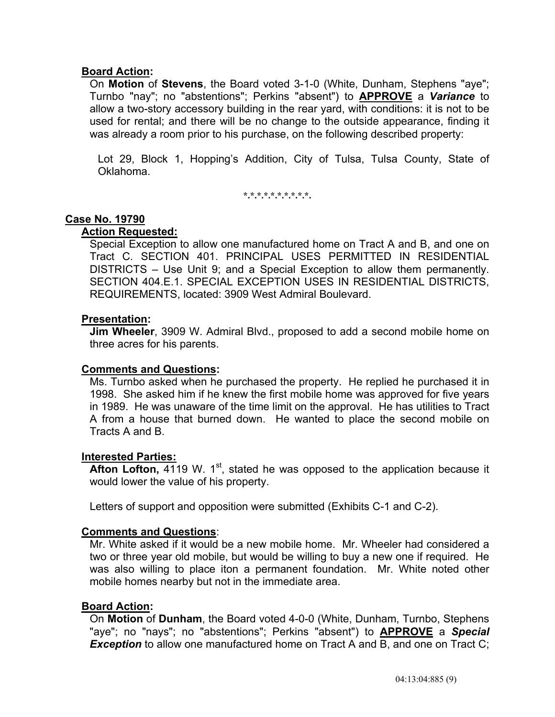# **Board Action:**

On **Motion** of **Stevens**, the Board voted 3-1-0 (White, Dunham, Stephens "aye"; Turnbo "nay"; no "abstentions"; Perkins "absent") to **APPROVE** a *Variance* to allow a two-story accessory building in the rear yard, with conditions: it is not to be used for rental; and there will be no change to the outside appearance, finding it was already a room prior to his purchase, on the following described property:

 Lot 29, Block 1, Hopping's Addition, City of Tulsa, Tulsa County, State of Oklahoma.

**\*.\*.\*.\*.\*.\*.\*.\*.\*.\*.** 

### **Case No. 19790**

# **Action Requested:**

 Special Exception to allow one manufactured home on Tract A and B, and one on Tract C. SECTION 401. PRINCIPAL USES PERMITTED IN RESIDENTIAL DISTRICTS – Use Unit 9; and a Special Exception to allow them permanently. SECTION 404.E.1. SPECIAL EXCEPTION USES IN RESIDENTIAL DISTRICTS, REQUIREMENTS, located: 3909 West Admiral Boulevard.

### **Presentation:**

 **Jim Wheeler**, 3909 W. Admiral Blvd., proposed to add a second mobile home on three acres for his parents.

### **Comments and Questions:**

 Ms. Turnbo asked when he purchased the property. He replied he purchased it in 1998. She asked him if he knew the first mobile home was approved for five years in 1989. He was unaware of the time limit on the approval. He has utilities to Tract A from a house that burned down. He wanted to place the second mobile on Tracts A and B.

### **Interested Parties:**

**Afton Lofton, 4119 W. 1st, stated he was opposed to the application because it** would lower the value of his property.

Letters of support and opposition were submitted (Exhibits C-1 and C-2).

# **Comments and Questions**:

 Mr. White asked if it would be a new mobile home. Mr. Wheeler had considered a two or three year old mobile, but would be willing to buy a new one if required. He was also willing to place iton a permanent foundation. Mr. White noted other mobile homes nearby but not in the immediate area.

### **Board Action:**

On **Motion** of **Dunham**, the Board voted 4-0-0 (White, Dunham, Turnbo, Stephens "aye"; no "nays"; no "abstentions"; Perkins "absent") to **APPROVE** a *Special*  **Exception** to allow one manufactured home on Tract A and B, and one on Tract C;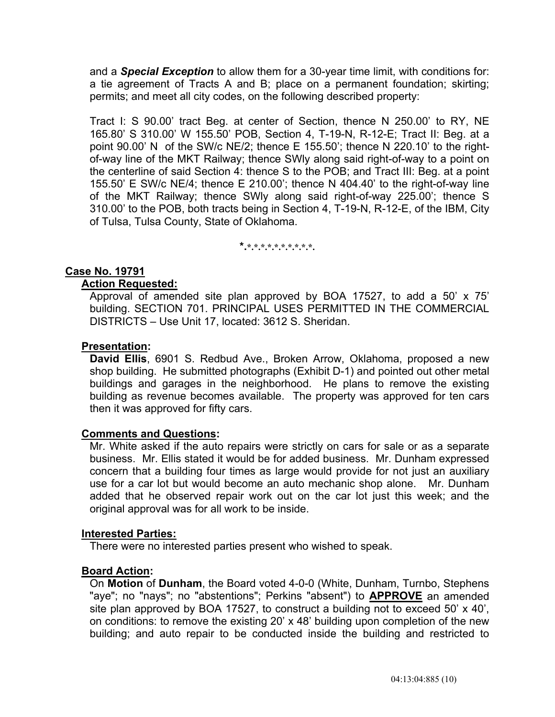and a *Special Exception* to allow them for a 30-year time limit, with conditions for: a tie agreement of Tracts A and B; place on a permanent foundation; skirting; permits; and meet all city codes, on the following described property:

 Tract I: S 90.00' tract Beg. at center of Section, thence N 250.00' to RY, NE 165.80' S 310.00' W 155.50' POB, Section 4, T-19-N, R-12-E; Tract II: Beg. at a point 90.00' N of the SW/c NE/2; thence E 155.50'; thence N 220.10' to the rightof-way line of the MKT Railway; thence SWly along said right-of-way to a point on the centerline of said Section 4: thence S to the POB; and Tract III: Beg. at a point 155.50' E SW/c NE/4; thence E 210.00'; thence N 404.40' to the right-of-way line of the MKT Railway; thence SWly along said right-of-way 225.00'; thence S 310.00' to the POB, both tracts being in Section 4, T-19-N, R-12-E, of the IBM, City of Tulsa, Tulsa County, State of Oklahoma.

**\*.\*.\*.\*.\*.\*.\*.\*.\*.\*.\*.** 

# **Case No. 19791**

### **Action Requested:**

 Approval of amended site plan approved by BOA 17527, to add a 50' x 75' building. SECTION 701. PRINCIPAL USES PERMITTED IN THE COMMERCIAL DISTRICTS – Use Unit 17, located: 3612 S. Sheridan.

### **Presentation:**

 **David Ellis**, 6901 S. Redbud Ave., Broken Arrow, Oklahoma, proposed a new shop building. He submitted photographs (Exhibit D-1) and pointed out other metal buildings and garages in the neighborhood. He plans to remove the existing building as revenue becomes available. The property was approved for ten cars then it was approved for fifty cars.

# **Comments and Questions:**

 Mr. White asked if the auto repairs were strictly on cars for sale or as a separate business. Mr. Ellis stated it would be for added business. Mr. Dunham expressed concern that a building four times as large would provide for not just an auxiliary use for a car lot but would become an auto mechanic shop alone. Mr. Dunham added that he observed repair work out on the car lot just this week; and the original approval was for all work to be inside.

### **Interested Parties:**

There were no interested parties present who wished to speak.

### **Board Action:**

 On **Motion** of **Dunham**, the Board voted 4-0-0 (White, Dunham, Turnbo, Stephens "aye"; no "nays"; no "abstentions"; Perkins "absent") to **APPROVE** an amended site plan approved by BOA 17527, to construct a building not to exceed 50' x 40', on conditions: to remove the existing 20' x 48' building upon completion of the new building; and auto repair to be conducted inside the building and restricted to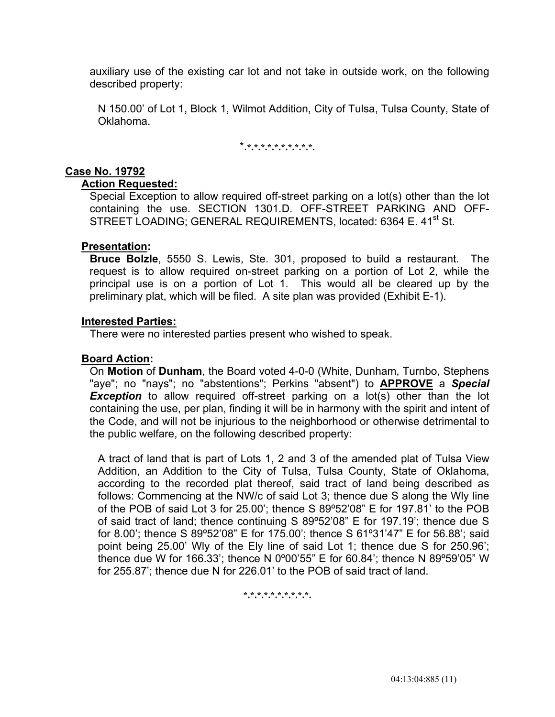auxiliary use of the existing car lot and not take in outside work, on the following described property:

 N 150.00' of Lot 1, Block 1, Wilmot Addition, City of Tulsa, Tulsa County, State of Oklahoma.

\*.**\*.\*.\*.\*.\*.\*.\*.\*.\*.\*.** 

# **Case No. 19792**

### **Action Requested:**

 Special Exception to allow required off-street parking on a lot(s) other than the lot containing the use. SECTION 1301.D. OFF-STREET PARKING AND OFF-STREET LOADING; GENERAL REQUIREMENTS, located: 6364 E. 41<sup>st</sup> St.

# **Presentation:**

 **Bruce Bolzle**, 5550 S. Lewis, Ste. 301, proposed to build a restaurant. The request is to allow required on-street parking on a portion of Lot 2, while the principal use is on a portion of Lot 1. This would all be cleared up by the preliminary plat, which will be filed. A site plan was provided (Exhibit E-1).

### **Interested Parties:**

There were no interested parties present who wished to speak.

# **Board Action:**

 On **Motion** of **Dunham**, the Board voted 4-0-0 (White, Dunham, Turnbo, Stephens "aye"; no "nays"; no "abstentions"; Perkins "absent") to **APPROVE** a *Special*  **Exception** to allow required off-street parking on a lot(s) other than the lot containing the use, per plan, finding it will be in harmony with the spirit and intent of the Code, and will not be injurious to the neighborhood or otherwise detrimental to the public welfare, on the following described property:

 A tract of land that is part of Lots 1, 2 and 3 of the amended plat of Tulsa View Addition, an Addition to the City of Tulsa, Tulsa County, State of Oklahoma, according to the recorded plat thereof, said tract of land being described as follows: Commencing at the NW/c of said Lot 3; thence due S along the Wly line of the POB of said Lot 3 for 25.00'; thence S 89º52'08" E for 197.81' to the POB of said tract of land; thence continuing S 89º52'08" E for 197.19'; thence due S for 8.00'; thence S 89º52'08" E for 175.00'; thence S 61º31'47" E for 56.88'; said point being 25.00' Wly of the Ely line of said Lot 1; thence due S for 250.96'; thence due W for 166.33'; thence N 0º00'55" E for 60.84'; thence N 89º59'05" W for 255.87'; thence due N for 226.01' to the POB of said tract of land.

**\*.\*.\*.\*.\*.\*.\*.\*.\*.\*.**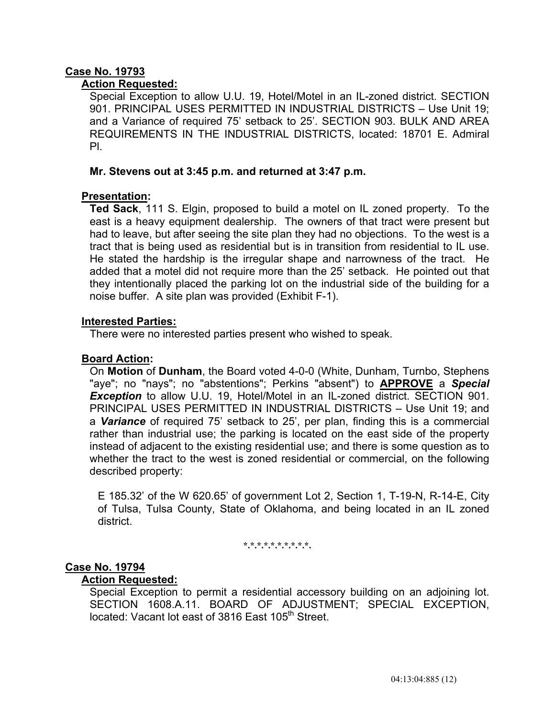# **Case No. 19793**

# **Action Requested:**

 Special Exception to allow U.U. 19, Hotel/Motel in an IL-zoned district. SECTION 901. PRINCIPAL USES PERMITTED IN INDUSTRIAL DISTRICTS – Use Unit 19; and a Variance of required 75' setback to 25'. SECTION 903. BULK AND AREA REQUIREMENTS IN THE INDUSTRIAL DISTRICTS, located: 18701 E. Admiral Pl.

### **Mr. Stevens out at 3:45 p.m. and returned at 3:47 p.m.**

# **Presentation:**

 **Ted Sack**, 111 S. Elgin, proposed to build a motel on IL zoned property. To the east is a heavy equipment dealership. The owners of that tract were present but had to leave, but after seeing the site plan they had no objections. To the west is a tract that is being used as residential but is in transition from residential to IL use. He stated the hardship is the irregular shape and narrowness of the tract. He added that a motel did not require more than the 25' setback. He pointed out that they intentionally placed the parking lot on the industrial side of the building for a noise buffer. A site plan was provided (Exhibit F-1).

### **Interested Parties:**

There were no interested parties present who wished to speak.

# **Board Action:**

 On **Motion** of **Dunham**, the Board voted 4-0-0 (White, Dunham, Turnbo, Stephens "aye"; no "nays"; no "abstentions"; Perkins "absent") to **APPROVE** a *Special*  **Exception** to allow U.U. 19, Hotel/Motel in an IL-zoned district. SECTION 901. PRINCIPAL USES PERMITTED IN INDUSTRIAL DISTRICTS – Use Unit 19; and a *Variance* of required 75' setback to 25', per plan, finding this is a commercial rather than industrial use; the parking is located on the east side of the property instead of adjacent to the existing residential use; and there is some question as to whether the tract to the west is zoned residential or commercial, on the following described property:

 E 185.32' of the W 620.65' of government Lot 2, Section 1, T-19-N, R-14-E, City of Tulsa, Tulsa County, State of Oklahoma, and being located in an IL zoned district.

**\*.\*.\*.\*.\*.\*.\*.\*.\*.\*.** 

# **Case No. 19794**

### **Action Requested:**

 Special Exception to permit a residential accessory building on an adjoining lot. SECTION 1608.A.11. BOARD OF ADJUSTMENT; SPECIAL EXCEPTION, located: Vacant lot east of 3816 East 105<sup>th</sup> Street.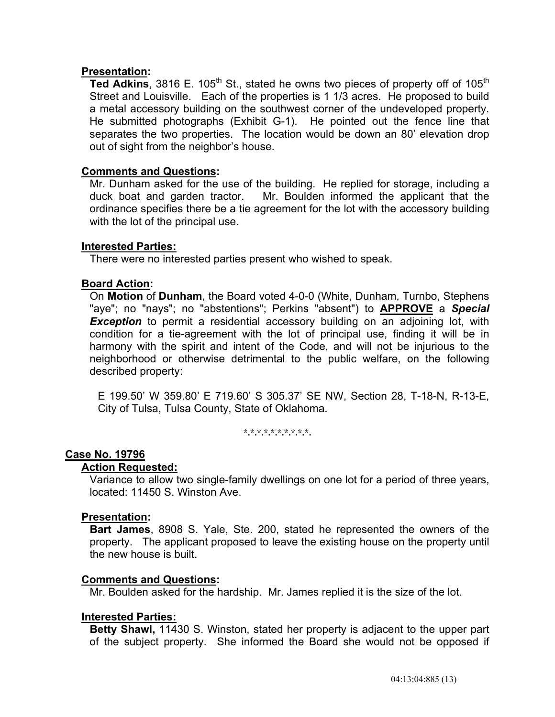# **Presentation:**

**Ted Adkins**, 3816 E. 105<sup>th</sup> St., stated he owns two pieces of property off of 105<sup>th</sup> Street and Louisville. Each of the properties is 1 1/3 acres. He proposed to build a metal accessory building on the southwest corner of the undeveloped property. He submitted photographs (Exhibit G-1). He pointed out the fence line that separates the two properties. The location would be down an 80' elevation drop out of sight from the neighbor's house.

# **Comments and Questions:**

 Mr. Dunham asked for the use of the building. He replied for storage, including a duck boat and garden tractor. Mr. Boulden informed the applicant that the ordinance specifies there be a tie agreement for the lot with the accessory building with the lot of the principal use.

### **Interested Parties:**

There were no interested parties present who wished to speak.

# **Board Action:**

 On **Motion** of **Dunham**, the Board voted 4-0-0 (White, Dunham, Turnbo, Stephens "aye"; no "nays"; no "abstentions"; Perkins "absent") to **APPROVE** a *Special*  **Exception** to permit a residential accessory building on an adjoining lot, with condition for a tie-agreement with the lot of principal use, finding it will be in harmony with the spirit and intent of the Code, and will not be injurious to the neighborhood or otherwise detrimental to the public welfare, on the following described property:

 E 199.50' W 359.80' E 719.60' S 305.37' SE NW, Section 28, T-18-N, R-13-E, City of Tulsa, Tulsa County, State of Oklahoma.

**\*.\*.\*.\*.\*.\*.\*.\*.\*.\*.** 

### **Case No. 19796**

### **Action Requested:**

 Variance to allow two single-family dwellings on one lot for a period of three years, located: 11450 S. Winston Ave.

### **Presentation:**

 **Bart James**, 8908 S. Yale, Ste. 200, stated he represented the owners of the property. The applicant proposed to leave the existing house on the property until the new house is built.

# **Comments and Questions:**

Mr. Boulden asked for the hardship. Mr. James replied it is the size of the lot.

### **Interested Parties:**

 **Betty Shawl,** 11430 S. Winston, stated her property is adjacent to the upper part of the subject property. She informed the Board she would not be opposed if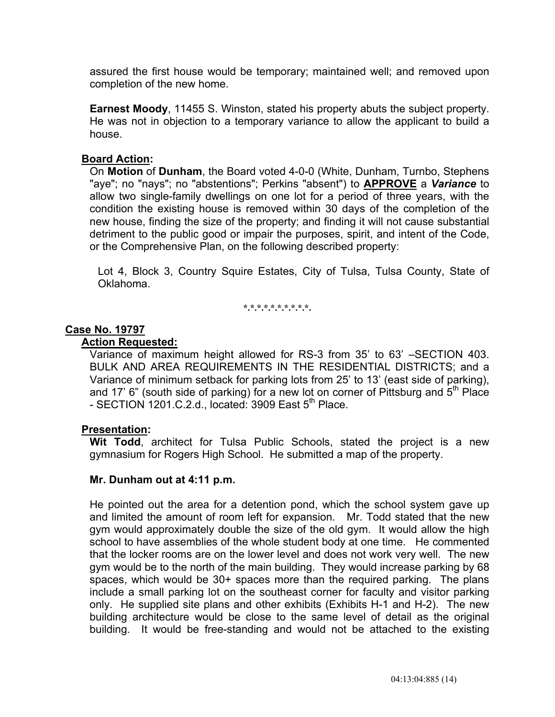assured the first house would be temporary; maintained well; and removed upon completion of the new home.

 **Earnest Moody**, 11455 S. Winston, stated his property abuts the subject property. He was not in objection to a temporary variance to allow the applicant to build a house.

# **Board Action:**

 On **Motion** of **Dunham**, the Board voted 4-0-0 (White, Dunham, Turnbo, Stephens "aye"; no "nays"; no "abstentions"; Perkins "absent") to **APPROVE** a *Variance* to allow two single-family dwellings on one lot for a period of three years, with the condition the existing house is removed within 30 days of the completion of the new house, finding the size of the property; and finding it will not cause substantial detriment to the public good or impair the purposes, spirit, and intent of the Code, or the Comprehensive Plan, on the following described property:

 Lot 4, Block 3, Country Squire Estates, City of Tulsa, Tulsa County, State of Oklahoma.

**\*.\*.\*.\*.\*.\*.\*.\*.\*.\*.** 

# **Case No. 19797**

### **Action Requested:**

 Variance of maximum height allowed for RS-3 from 35' to 63' –SECTION 403. BULK AND AREA REQUIREMENTS IN THE RESIDENTIAL DISTRICTS; and a Variance of minimum setback for parking lots from 25' to 13' (east side of parking), and 17' 6" (south side of parking) for a new lot on corner of Pittsburg and  $5<sup>th</sup>$  Place - SECTION 1201.C.2.d., located:  $3909$  East  $5^{th}$  Place.

### **Presentation:**

 **Wit Todd**, architect for Tulsa Public Schools, stated the project is a new gymnasium for Rogers High School. He submitted a map of the property.

### **Mr. Dunham out at 4:11 p.m.**

 He pointed out the area for a detention pond, which the school system gave up and limited the amount of room left for expansion. Mr. Todd stated that the new gym would approximately double the size of the old gym. It would allow the high school to have assemblies of the whole student body at one time. He commented that the locker rooms are on the lower level and does not work very well. The new gym would be to the north of the main building. They would increase parking by 68 spaces, which would be 30+ spaces more than the required parking. The plans include a small parking lot on the southeast corner for faculty and visitor parking only. He supplied site plans and other exhibits (Exhibits H-1 and H-2). The new building architecture would be close to the same level of detail as the original building. It would be free-standing and would not be attached to the existing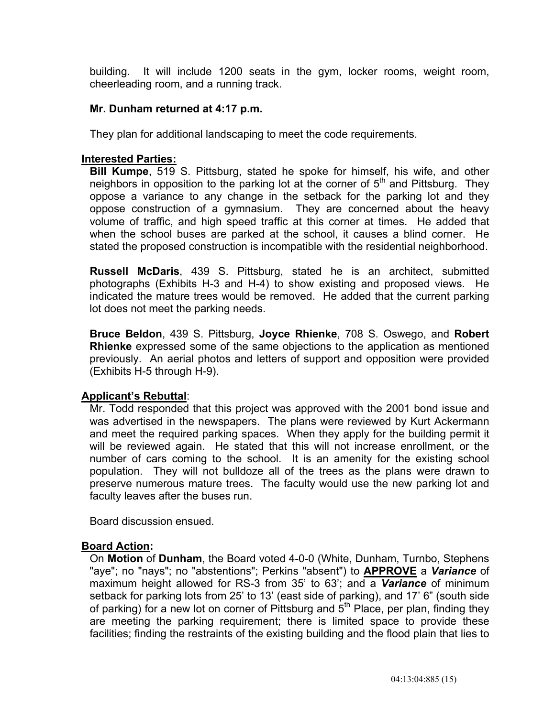building. It will include 1200 seats in the gym, locker rooms, weight room, cheerleading room, and a running track.

# **Mr. Dunham returned at 4:17 p.m.**

They plan for additional landscaping to meet the code requirements.

# **Interested Parties:**

 **Bill Kumpe**, 519 S. Pittsburg, stated he spoke for himself, his wife, and other neighbors in opposition to the parking lot at the corner of  $5<sup>th</sup>$  and Pittsburg. They oppose a variance to any change in the setback for the parking lot and they oppose construction of a gymnasium. They are concerned about the heavy volume of traffic, and high speed traffic at this corner at times. He added that when the school buses are parked at the school, it causes a blind corner. He stated the proposed construction is incompatible with the residential neighborhood.

 **Russell McDaris**, 439 S. Pittsburg, stated he is an architect, submitted photographs (Exhibits H-3 and H-4) to show existing and proposed views. He indicated the mature trees would be removed. He added that the current parking lot does not meet the parking needs.

 **Bruce Beldon**, 439 S. Pittsburg, **Joyce Rhienke**, 708 S. Oswego, and **Robert Rhienke** expressed some of the same objections to the application as mentioned previously. An aerial photos and letters of support and opposition were provided (Exhibits H-5 through H-9).

# **Applicant's Rebuttal**:

 Mr. Todd responded that this project was approved with the 2001 bond issue and was advertised in the newspapers. The plans were reviewed by Kurt Ackermann and meet the required parking spaces. When they apply for the building permit it will be reviewed again. He stated that this will not increase enrollment, or the number of cars coming to the school. It is an amenity for the existing school population. They will not bulldoze all of the trees as the plans were drawn to preserve numerous mature trees. The faculty would use the new parking lot and faculty leaves after the buses run.

Board discussion ensued.

### **Board Action:**

 On **Motion** of **Dunham**, the Board voted 4-0-0 (White, Dunham, Turnbo, Stephens "aye"; no "nays"; no "abstentions"; Perkins "absent") to **APPROVE** a *Variance* of maximum height allowed for RS-3 from 35' to 63'; and a *Variance* of minimum setback for parking lots from 25' to 13' (east side of parking), and 17' 6" (south side of parking) for a new lot on corner of Pittsburg and  $5<sup>th</sup>$  Place, per plan, finding they are meeting the parking requirement; there is limited space to provide these facilities; finding the restraints of the existing building and the flood plain that lies to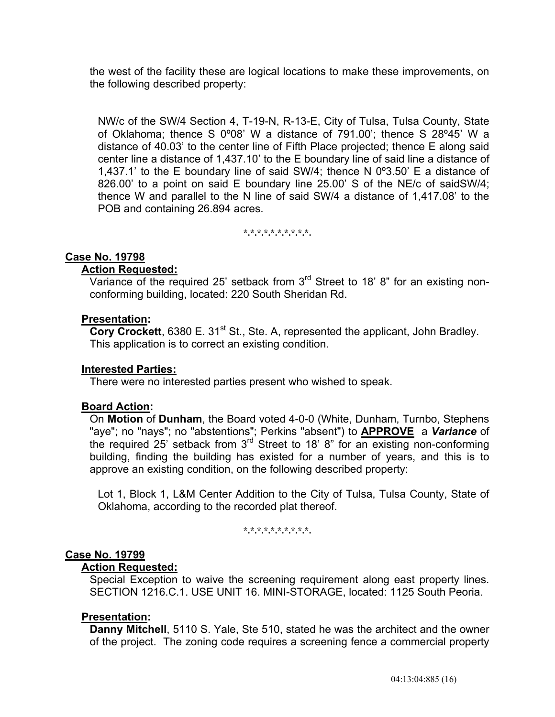the west of the facility these are logical locations to make these improvements, on the following described property:

 NW/c of the SW/4 Section 4, T-19-N, R-13-E, City of Tulsa, Tulsa County, State of Oklahoma; thence S 0º08' W a distance of 791.00'; thence S 28º45' W a distance of 40.03' to the center line of Fifth Place projected; thence E along said center line a distance of 1,437.10' to the E boundary line of said line a distance of 1,437.1' to the E boundary line of said SW/4; thence N 0º3.50' E a distance of 826.00' to a point on said E boundary line 25.00' S of the NE/c of saidSW/4; thence W and parallel to the N line of said SW/4 a distance of 1,417.08' to the POB and containing 26.894 acres.

**\*.\*.\*.\*.\*.\*.\*.\*.\*.\*.** 

# **Case No. 19798**

#### **Action Requested:**

Variance of the required 25' setback from 3<sup>rd</sup> Street to 18' 8" for an existing nonconforming building, located: 220 South Sheridan Rd.

#### **Presentation:**

**Cory Crockett**, 6380 E. 31<sup>st</sup> St., Ste. A, represented the applicant, John Bradley. This application is to correct an existing condition.

### **Interested Parties:**

There were no interested parties present who wished to speak.

### **Board Action:**

 On **Motion** of **Dunham**, the Board voted 4-0-0 (White, Dunham, Turnbo, Stephens "aye"; no "nays"; no "abstentions"; Perkins "absent") to **APPROVE** a *Variance* of the required 25' setback from 3<sup>rd</sup> Street to 18' 8" for an existing non-conforming building, finding the building has existed for a number of years, and this is to approve an existing condition, on the following described property:

 Lot 1, Block 1, L&M Center Addition to the City of Tulsa, Tulsa County, State of Oklahoma, according to the recorded plat thereof.

**\*.\*.\*.\*.\*.\*.\*.\*.\*.\*.** 

# **Case No. 19799**

#### **Action Requested:**

 Special Exception to waive the screening requirement along east property lines. SECTION 1216.C.1. USE UNIT 16. MINI-STORAGE, located: 1125 South Peoria.

#### **Presentation:**

 **Danny Mitchell**, 5110 S. Yale, Ste 510, stated he was the architect and the owner of the project. The zoning code requires a screening fence a commercial property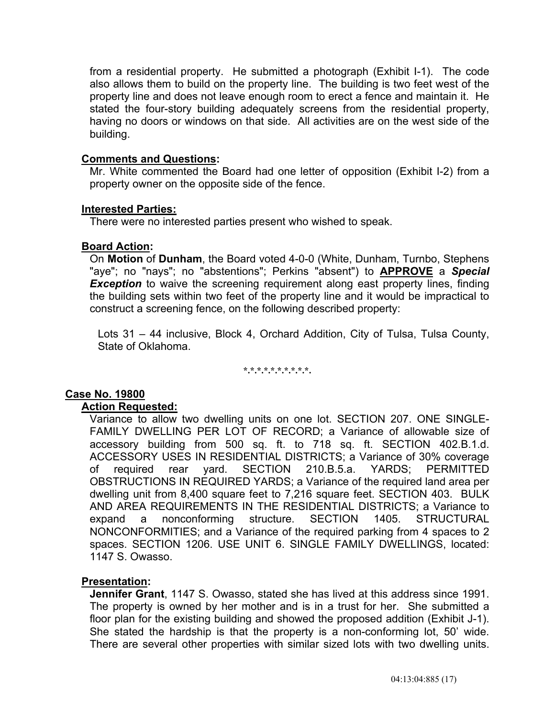from a residential property. He submitted a photograph (Exhibit I-1). The code also allows them to build on the property line. The building is two feet west of the property line and does not leave enough room to erect a fence and maintain it. He stated the four-story building adequately screens from the residential property, having no doors or windows on that side. All activities are on the west side of the building.

### **Comments and Questions:**

 Mr. White commented the Board had one letter of opposition (Exhibit I-2) from a property owner on the opposite side of the fence.

### **Interested Parties:**

There were no interested parties present who wished to speak.

# **Board Action:**

 On **Motion** of **Dunham**, the Board voted 4-0-0 (White, Dunham, Turnbo, Stephens "aye"; no "nays"; no "abstentions"; Perkins "absent") to **APPROVE** a *Special*  **Exception** to waive the screening requirement along east property lines, finding the building sets within two feet of the property line and it would be impractical to construct a screening fence, on the following described property:

 Lots 31 – 44 inclusive, Block 4, Orchard Addition, City of Tulsa, Tulsa County, State of Oklahoma.

**\*.\*.\*.\*.\*.\*.\*.\*.\*.\*.** 

# **Case No. 19800**

# **Action Requested:**

 Variance to allow two dwelling units on one lot. SECTION 207. ONE SINGLE-FAMILY DWELLING PER LOT OF RECORD; a Variance of allowable size of accessory building from 500 sq. ft. to 718 sq. ft. SECTION 402.B.1.d. ACCESSORY USES IN RESIDENTIAL DISTRICTS; a Variance of 30% coverage of required rear yard. SECTION 210.B.5.a. YARDS; PERMITTED OBSTRUCTIONS IN REQUIRED YARDS; a Variance of the required land area per dwelling unit from 8,400 square feet to 7,216 square feet. SECTION 403. BULK AND AREA REQUIREMENTS IN THE RESIDENTIAL DISTRICTS; a Variance to expand a nonconforming structure. SECTION 1405. STRUCTURAL NONCONFORMITIES; and a Variance of the required parking from 4 spaces to 2 spaces. SECTION 1206. USE UNIT 6. SINGLE FAMILY DWELLINGS, located: 1147 S. Owasso.

# **Presentation:**

 **Jennifer Grant**, 1147 S. Owasso, stated she has lived at this address since 1991. The property is owned by her mother and is in a trust for her. She submitted a floor plan for the existing building and showed the proposed addition (Exhibit J-1). She stated the hardship is that the property is a non-conforming lot, 50' wide. There are several other properties with similar sized lots with two dwelling units.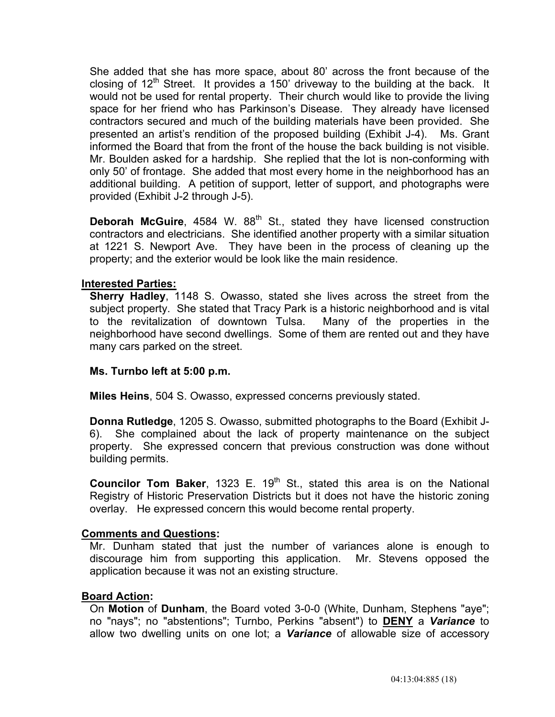She added that she has more space, about 80' across the front because of the closing of  $12<sup>th</sup>$  Street. It provides a 150' driveway to the building at the back. It would not be used for rental property. Their church would like to provide the living space for her friend who has Parkinson's Disease. They already have licensed contractors secured and much of the building materials have been provided. She presented an artist's rendition of the proposed building (Exhibit J-4). Ms. Grant informed the Board that from the front of the house the back building is not visible. Mr. Boulden asked for a hardship. She replied that the lot is non-conforming with only 50' of frontage. She added that most every home in the neighborhood has an additional building. A petition of support, letter of support, and photographs were provided (Exhibit J-2 through J-5).

**Deborah McGuire**, 4584 W. 88<sup>th</sup> St., stated they have licensed construction contractors and electricians. She identified another property with a similar situation at 1221 S. Newport Ave. They have been in the process of cleaning up the property; and the exterior would be look like the main residence.

# **Interested Parties:**

 **Sherry Hadley**, 1148 S. Owasso, stated she lives across the street from the subject property. She stated that Tracy Park is a historic neighborhood and is vital to the revitalization of downtown Tulsa. Many of the properties in the neighborhood have second dwellings. Some of them are rented out and they have many cars parked on the street.

### **Ms. Turnbo left at 5:00 p.m.**

**Miles Heins**, 504 S. Owasso, expressed concerns previously stated.

 **Donna Rutledge**, 1205 S. Owasso, submitted photographs to the Board (Exhibit J-6). She complained about the lack of property maintenance on the subject property. She expressed concern that previous construction was done without building permits.

**Councilor Tom Baker**, 1323 E. 19<sup>th</sup> St., stated this area is on the National Registry of Historic Preservation Districts but it does not have the historic zoning overlay. He expressed concern this would become rental property.

### **Comments and Questions:**

 Mr. Dunham stated that just the number of variances alone is enough to discourage him from supporting this application. Mr. Stevens opposed the application because it was not an existing structure.

### **Board Action:**

 On **Motion** of **Dunham**, the Board voted 3-0-0 (White, Dunham, Stephens "aye"; no "nays"; no "abstentions"; Turnbo, Perkins "absent") to **DENY** a *Variance* to allow two dwelling units on one lot; a *Variance* of allowable size of accessory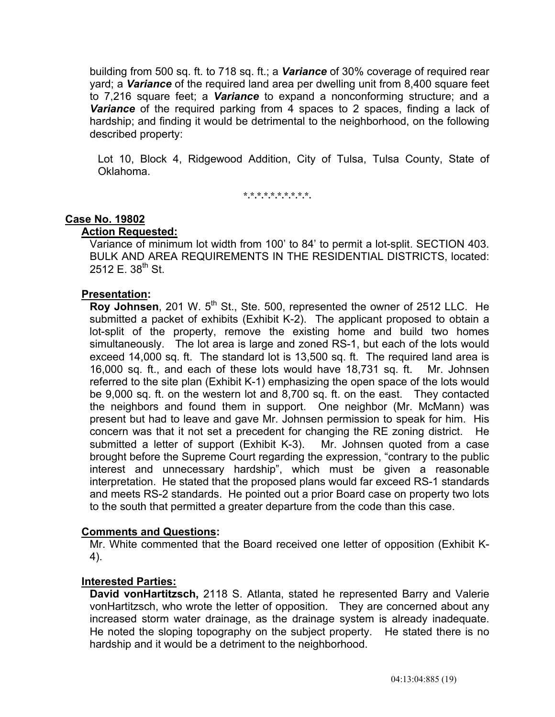building from 500 sq. ft. to 718 sq. ft.; a *Variance* of 30% coverage of required rear yard; a *Variance* of the required land area per dwelling unit from 8,400 square feet to 7,216 square feet; a *Variance* to expand a nonconforming structure; and a *Variance* of the required parking from 4 spaces to 2 spaces, finding a lack of hardship; and finding it would be detrimental to the neighborhood, on the following described property:

 Lot 10, Block 4, Ridgewood Addition, City of Tulsa, Tulsa County, State of Oklahoma.

**\*.\*.\*.\*.\*.\*.\*.\*.\*.\*.** 

### **Case No. 19802**

### **Action Requested:**

 Variance of minimum lot width from 100' to 84' to permit a lot-split. SECTION 403. BULK AND AREA REQUIREMENTS IN THE RESIDENTIAL DISTRICTS, located: 2512 E.  $38^{th}$  St.

# **Presentation:**

**Roy Johnsen**, 201 W. 5<sup>th</sup> St., Ste. 500, represented the owner of 2512 LLC. He submitted a packet of exhibits (Exhibit K-2). The applicant proposed to obtain a lot-split of the property, remove the existing home and build two homes simultaneously. The lot area is large and zoned RS-1, but each of the lots would exceed 14,000 sq. ft. The standard lot is 13,500 sq. ft. The required land area is 16,000 sq. ft., and each of these lots would have 18,731 sq. ft. Mr. Johnsen referred to the site plan (Exhibit K-1) emphasizing the open space of the lots would be 9,000 sq. ft. on the western lot and 8,700 sq. ft. on the east. They contacted the neighbors and found them in support. One neighbor (Mr. McMann) was present but had to leave and gave Mr. Johnsen permission to speak for him. His concern was that it not set a precedent for changing the RE zoning district. He submitted a letter of support (Exhibit K-3). Mr. Johnsen quoted from a case brought before the Supreme Court regarding the expression, "contrary to the public interest and unnecessary hardship", which must be given a reasonable interpretation. He stated that the proposed plans would far exceed RS-1 standards and meets RS-2 standards. He pointed out a prior Board case on property two lots to the south that permitted a greater departure from the code than this case.

### **Comments and Questions:**

 Mr. White commented that the Board received one letter of opposition (Exhibit K-4).

# **Interested Parties:**

 **David vonHartitzsch,** 2118 S. Atlanta, stated he represented Barry and Valerie vonHartitzsch, who wrote the letter of opposition. They are concerned about any increased storm water drainage, as the drainage system is already inadequate. He noted the sloping topography on the subject property. He stated there is no hardship and it would be a detriment to the neighborhood.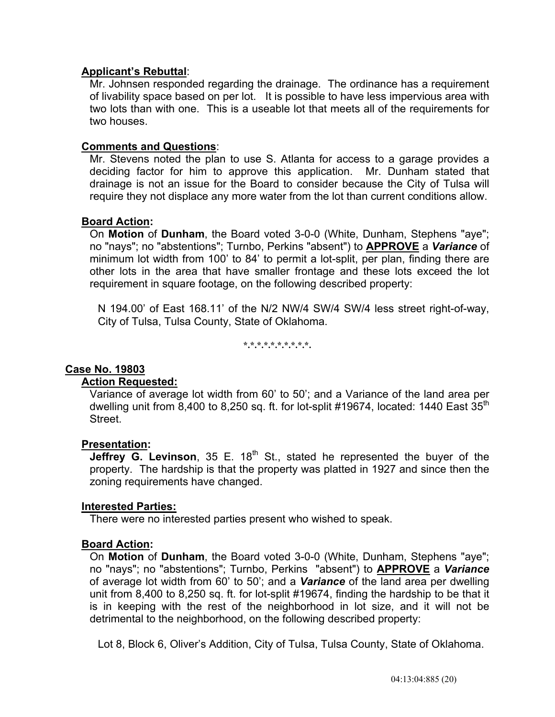# **Applicant's Rebuttal**:

 Mr. Johnsen responded regarding the drainage. The ordinance has a requirement of livability space based on per lot. It is possible to have less impervious area with two lots than with one. This is a useable lot that meets all of the requirements for two houses.

### **Comments and Questions**:

 Mr. Stevens noted the plan to use S. Atlanta for access to a garage provides a deciding factor for him to approve this application. Mr. Dunham stated that drainage is not an issue for the Board to consider because the City of Tulsa will require they not displace any more water from the lot than current conditions allow.

# **Board Action:**

 On **Motion** of **Dunham**, the Board voted 3-0-0 (White, Dunham, Stephens "aye"; no "nays"; no "abstentions"; Turnbo, Perkins "absent") to **APPROVE** a *Variance* of minimum lot width from 100' to 84' to permit a lot-split, per plan, finding there are other lots in the area that have smaller frontage and these lots exceed the lot requirement in square footage, on the following described property:

 N 194.00' of East 168.11' of the N/2 NW/4 SW/4 SW/4 less street right-of-way, City of Tulsa, Tulsa County, State of Oklahoma.

**\*.\*.\*.\*.\*.\*.\*.\*.\*.\*.** 

### **Case No. 19803**

### **Action Requested:**

 Variance of average lot width from 60' to 50'; and a Variance of the land area per dwelling unit from 8,400 to 8,250 sq. ft. for lot-split #19674, located: 1440 East  $35<sup>th</sup>$ Street.

### **Presentation:**

**Jeffrey G. Levinson**, 35 E. 18<sup>th</sup> St., stated he represented the buyer of the property. The hardship is that the property was platted in 1927 and since then the zoning requirements have changed.

### **Interested Parties:**

There were no interested parties present who wished to speak.

### **Board Action:**

 On **Motion** of **Dunham**, the Board voted 3-0-0 (White, Dunham, Stephens "aye"; no "nays"; no "abstentions"; Turnbo, Perkins "absent") to **APPROVE** a *Variance* of average lot width from 60' to 50'; and a *Variance* of the land area per dwelling unit from 8,400 to 8,250 sq. ft. for lot-split #19674, finding the hardship to be that it is in keeping with the rest of the neighborhood in lot size, and it will not be detrimental to the neighborhood, on the following described property:

Lot 8, Block 6, Oliver's Addition, City of Tulsa, Tulsa County, State of Oklahoma.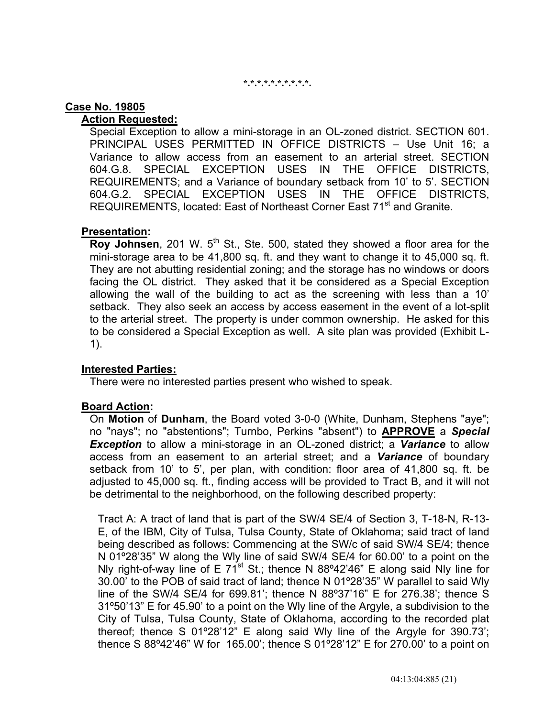#### **\*.\*.\*.\*.\*.\*.\*.\*.\*.\*.**

### **Case No. 19805**

# **Action Requested:**

 Special Exception to allow a mini-storage in an OL-zoned district. SECTION 601. PRINCIPAL USES PERMITTED IN OFFICE DISTRICTS – Use Unit 16; a Variance to allow access from an easement to an arterial street. SECTION 604.G.8. SPECIAL EXCEPTION USES IN THE OFFICE DISTRICTS, REQUIREMENTS; and a Variance of boundary setback from 10' to 5'. SECTION 604.G.2. SPECIAL EXCEPTION USES IN THE OFFICE DISTRICTS, REQUIREMENTS, located: East of Northeast Corner East 71<sup>st</sup> and Granite.

### **Presentation:**

**Roy Johnsen**, 201 W. 5<sup>th</sup> St., Ste. 500, stated they showed a floor area for the mini-storage area to be 41,800 sq. ft. and they want to change it to 45,000 sq. ft. They are not abutting residential zoning; and the storage has no windows or doors facing the OL district. They asked that it be considered as a Special Exception allowing the wall of the building to act as the screening with less than a 10' setback. They also seek an access by access easement in the event of a lot-split to the arterial street. The property is under common ownership. He asked for this to be considered a Special Exception as well. A site plan was provided (Exhibit L-1).

### **Interested Parties:**

There were no interested parties present who wished to speak.

# **Board Action:**

 On **Motion** of **Dunham**, the Board voted 3-0-0 (White, Dunham, Stephens "aye"; no "nays"; no "abstentions"; Turnbo, Perkins "absent") to **APPROVE** a *Special Exception* to allow a mini-storage in an OL-zoned district; a *Variance* to allow access from an easement to an arterial street; and a *Variance* of boundary setback from 10' to 5', per plan, with condition: floor area of 41,800 sq. ft. be adjusted to 45,000 sq. ft., finding access will be provided to Tract B, and it will not be detrimental to the neighborhood, on the following described property:

 Tract A: A tract of land that is part of the SW/4 SE/4 of Section 3, T-18-N, R-13- E, of the IBM, City of Tulsa, Tulsa County, State of Oklahoma; said tract of land being described as follows: Commencing at the SW/c of said SW/4 SE/4; thence N 01º28'35" W along the Wly line of said SW/4 SE/4 for 60.00' to a point on the Nly right-of-way line of E  $71^{st}$  St.; thence N 88°42'46" E along said Nly line for 30.00' to the POB of said tract of land; thence N 01º28'35" W parallel to said Wly line of the SW/4 SE/4 for 699.81'; thence N 88º37'16" E for 276.38'; thence S 31º50'13" E for 45.90' to a point on the Wly line of the Argyle, a subdivision to the City of Tulsa, Tulsa County, State of Oklahoma, according to the recorded plat thereof; thence S 01º28'12" E along said Wly line of the Argyle for 390.73'; thence S 88º42'46" W for 165.00'; thence S 01º28'12" E for 270.00' to a point on